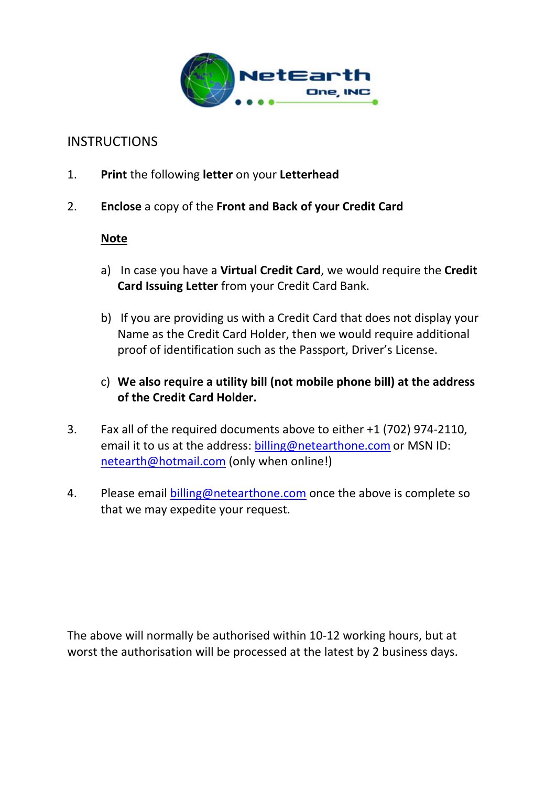

## **INSTRUCTIONS**

- 1. **Print** the following **letter** on your **Letterhead**
- 2. **Enclose** a copy of the **Front and Back of your Credit Card**

## **Note**

- a) In case you have a **Virtual Credit Card**, we would require the **Credit Card Issuing Letter** from your Credit Card Bank.
- b) If you are providing us with a Credit Card that does not display your Name as the Credit Card Holder, then we would require additional proof of identification such as the Passport, Driver's License.
- c) **We also require a utility bill (not mobile phone bill) at the address of the Credit Card Holder.**
- 3. Fax all of the required documents above to either +1 (702) 974‐2110, email it to us at the address: billing@netearthone.com or MSN ID: netearth@hotmail.com (only when online!)
- 4. Please email billing@netearthone.com once the above is complete so that we may expedite your request.

The above will normally be authorised within 10‐12 working hours, but at worst the authorisation will be processed at the latest by 2 business days.